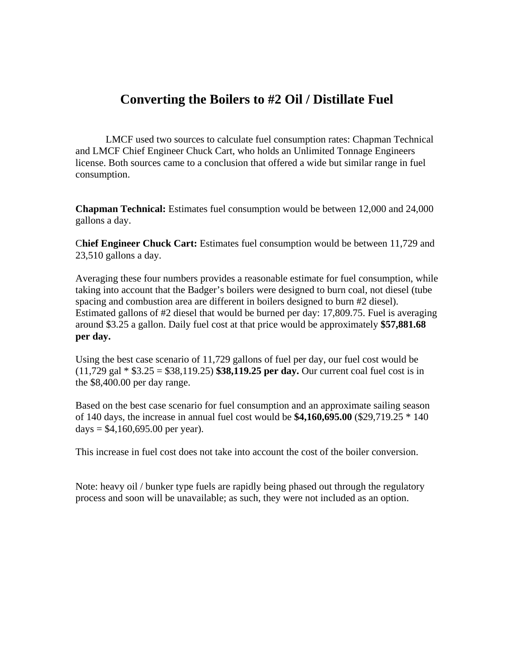## **Converting the Boilers to #2 Oil / Distillate Fuel**

 LMCF used two sources to calculate fuel consumption rates: Chapman Technical and LMCF Chief Engineer Chuck Cart, who holds an Unlimited Tonnage Engineers license. Both sources came to a conclusion that offered a wide but similar range in fuel consumption.

**Chapman Technical:** Estimates fuel consumption would be between 12,000 and 24,000 gallons a day.

C**hief Engineer Chuck Cart:** Estimates fuel consumption would be between 11,729 and 23,510 gallons a day.

Averaging these four numbers provides a reasonable estimate for fuel consumption, while taking into account that the Badger's boilers were designed to burn coal, not diesel (tube spacing and combustion area are different in boilers designed to burn #2 diesel). Estimated gallons of #2 diesel that would be burned per day: 17,809.75. Fuel is averaging around \$3.25 a gallon. Daily fuel cost at that price would be approximately **\$57,881.68 per day.**

Using the best case scenario of 11,729 gallons of fuel per day, our fuel cost would be (11,729 gal \* \$3.25 = \$38,119.25) **\$38,119.25 per day.** Our current coal fuel cost is in the \$8,400.00 per day range.

Based on the best case scenario for fuel consumption and an approximate sailing season of 140 days, the increase in annual fuel cost would be **\$4,160,695.00** (\$29,719.25 \* 140 days =  $$4,160,695.00$  per year).

This increase in fuel cost does not take into account the cost of the boiler conversion.

Note: heavy oil / bunker type fuels are rapidly being phased out through the regulatory process and soon will be unavailable; as such, they were not included as an option.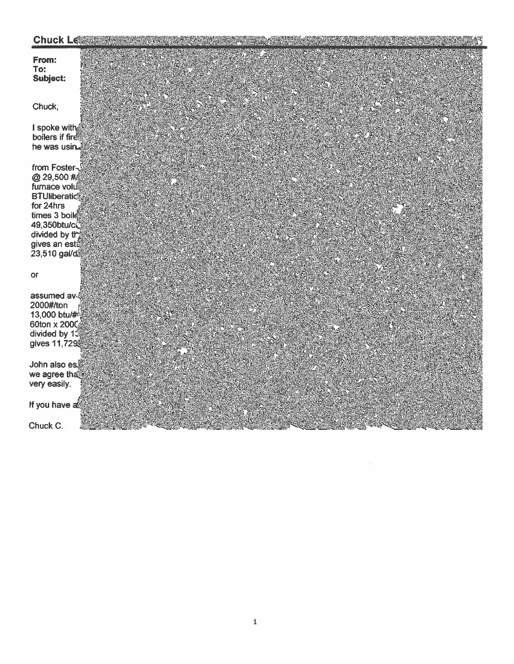| <b>Chuck Leases</b>                                                 |  |
|---------------------------------------------------------------------|--|
| From:<br>To:<br>Subject:                                            |  |
| Chuck,                                                              |  |
| I spoke with<br>boilers if fire<br>he was usin                      |  |
| from Foster-<br>@ 29,500 #<br>furnace volus                         |  |
| <b>BTUliberatics</b><br>for 24hrs<br>times $3$ boile<br>49,350btu/c |  |
| divided by the<br>gives an este<br>23,510 gal/d                     |  |
| or<br>assumed av<br>2000#/ton                                       |  |
| 13,000 btu/#<br>60ton x 200C<br>divided by 13<br>gives 11,729       |  |
| John also es<br>we agree that<br>very easily.                       |  |
| If you have a<br>Chuck C.                                           |  |
|                                                                     |  |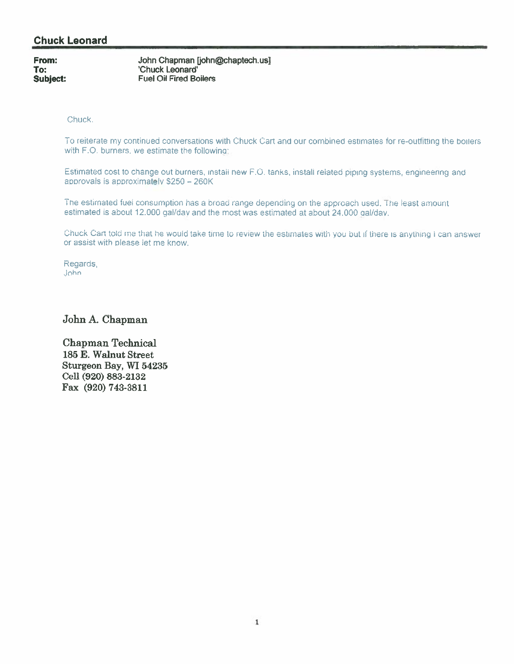## **Chuck Leonard**

From: To: Subject:

John Chapman [john@chaptech.us] 'Chuck Leonard' **Fuel Oil Fired Boilers** 

Chuck.

To reiterate my continued conversations with Chuck Cart and our combined estimates for re-outfitting the boilers with F.O. burners, we estimate the following:

Estimated cost to change out burners, install new F.O. tanks, install related piping systems, engineering and approvals is approximately \$250 - 260K

The estimated fuel consumption has a broad range depending on the approach used. The least amount estimated is about 12.000 gal/day and the most was estimated at about 24,000 gal/day.

Chuck Cart told me that he would take time to review the estimates with you but if there is anything I can answer or assist with please let me know.

Regards, John

John A. Chapman

**Chapman Technical** 185 E. Walnut Street Sturgeon Bay, WI 54235 Cell (920) 883-2132 Fax (920) 743-3811